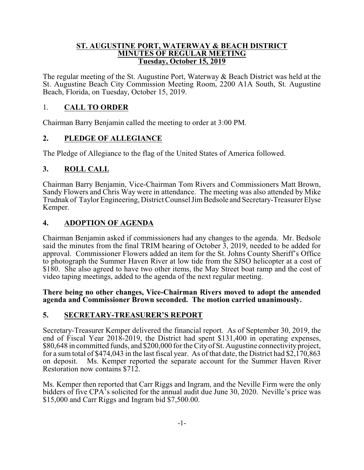#### **ST. AUGUSTINE PORT, WATERWAY & BEACH DISTRICT MINUTES OF REGULAR MEETING Tuesday, October 15, 2019**

The regular meeting of the St. Augustine Port, Waterway & Beach District was held at the St. Augustine Beach City Commission Meeting Room, 2200 A1A South, St. Augustine Beach, Florida, on Tuesday, October 15, 2019.

## 1. **CALL TO ORDER**

Chairman Barry Benjamin called the meeting to order at 3:00 PM.

# **2. PLEDGE OF ALLEGIANCE**

The Pledge of Allegiance to the flag of the United States of America followed.

# **3. ROLL CALL**

Chairman Barry Benjamin, Vice-Chairman Tom Rivers and Commissioners Matt Brown, Sandy Flowers and Chris Way were in attendance. The meeting was also attended by Mike Trudnak of Taylor Engineering, District Counsel JimBedsole and Secretary-Treasurer Elyse Kemper.

# **4. ADOPTION OF AGENDA**

Chairman Benjamin asked if commissioners had any changes to the agenda. Mr. Bedsole said the minutes from the final TRIM hearing of October 3, 2019, needed to be added for approval. Commissioner Flowers added an item for the St. Johns County Sheriff's Office to photograph the Summer Haven River at low tide from the SJSO helicopter at a cost of \$180. She also agreed to have two other items, the May Street boat ramp and the cost of video taping meetings, added to the agenda of the next regular meeting.

#### **There being no other changes, Vice-Chairman Rivers moved to adopt the amended agenda and Commissioner Brown seconded. The motion carried unanimously.**

## **5. SECRETARY-TREASURER'S REPORT**

Secretary-Treasurer Kemper delivered the financial report. As of September 30, 2019, the end of Fiscal Year 2018-2019, the District had spent \$131,400 in operating expenses, \$80,648 in committed funds, and \$200,000 for the City of St. Augustine connectivity project, for a sum total of \$474,043 in the last fiscal year. As of that date, the District had \$2,170,863 on deposit. Ms. Kemper reported the separate account for the Summer Haven River Restoration now contains \$712.

Ms. Kemper then reported that Carr Riggs and Ingram, and the Neville Firm were the only bidders of five CPA's solicited for the annual audit due June 30, 2020. Neville's price was \$15,000 and Carr Riggs and Ingram bid \$7,500.00.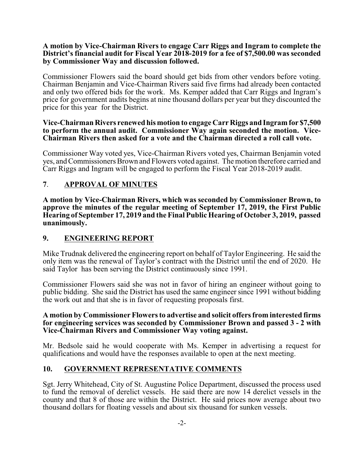#### **A motion by Vice-Chairman Rivers to engage Carr Riggs and Ingram to complete the District's financial audit for Fiscal Year 2018-2019 for a fee of \$7,500.00 was seconded by Commissioner Way and discussion followed.**

Commissioner Flowers said the board should get bids from other vendors before voting. Chairman Benjamin and Vice-Chairman Rivers said five firms had already been contacted and only two offered bids for the work. Ms. Kemper added that Carr Riggs and Ingram's price for government audits begins at nine thousand dollars per year but they discounted the price for this year for the District.

#### **Vice-Chairman Rivers renewed his motion to engage Carr Riggs andIngram for \$7,500 to perform the annual audit. Commissioner Way again seconded the motion. Vice-Chairman Rivers then asked for a vote and the Chairman directed a roll call vote.**

Commissioner Way voted yes, Vice-Chairman Rivers voted yes, Chairman Benjamin voted yes, and Commissioners Brown and Flowers voted against. The motion therefore carried and Carr Riggs and Ingram will be engaged to perform the Fiscal Year 2018-2019 audit.

# **7**. **APPROVAL OF MINUTES**

**A motion by Vice-Chairman Rivers, which was seconded by Commissioner Brown, to approve the minutes of the regular meeting of September 17, 2019, the First Public Hearing of September 17, 2019 and the Final Public Hearing of October 3, 2019, passed unanimously.**

## **9. ENGINEERING REPORT**

Mike Trudnak delivered the engineering report on behalf of Taylor Engineering. He said the only item was the renewal of Taylor's contract with the District until the end of 2020. He said Taylor has been serving the District continuously since 1991.

Commissioner Flowers said she was not in favor of hiring an engineer without going to public bidding. She said the District has used the same engineer since 1991 without bidding the work out and that she is in favor of requesting proposals first.

#### **A motion by Commissioner Flowers to advertise and solicit offers from interested firms for engineering services was seconded by Commissioner Brown and passed 3 - 2 with Vice-Chairman Rivers and Commissioner Way voting against.**

Mr. Bedsole said he would cooperate with Ms. Kemper in advertising a request for qualifications and would have the responses available to open at the next meeting.

## **10. GOVERNMENT REPRESENTATIVE COMMENTS**

Sgt. Jerry Whitehead, City of St. Augustine Police Department, discussed the process used to fund the removal of derelict vessels. He said there are now 14 derelict vessels in the county and that 8 of those are within the District. He said prices now average about two thousand dollars for floating vessels and about six thousand for sunken vessels.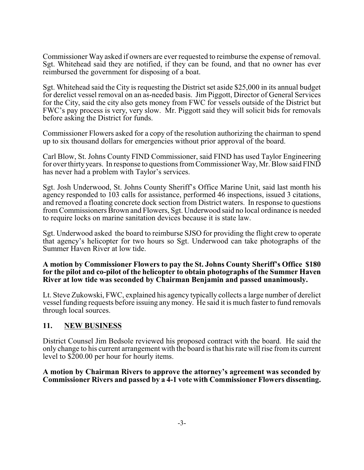Commissioner Way asked if owners are ever requested to reimburse the expense of removal. Sgt. Whitehead said they are notified, if they can be found, and that no owner has ever reimbursed the government for disposing of a boat.

Sgt. Whitehead said the City is requesting the District set aside \$25,000 in its annual budget for derelict vessel removal on an as-needed basis. Jim Piggott, Director of General Services for the City, said the city also gets money from FWC for vessels outside of the District but FWC's pay process is very, very slow. Mr. Piggott said they will solicit bids for removals before asking the District for funds.

Commissioner Flowers asked for a copy of the resolution authorizing the chairman to spend up to six thousand dollars for emergencies without prior approval of the board.

Carl Blow, St. Johns County FIND Commissioner, said FIND has used Taylor Engineering for over thirty years. In response to questions fromCommissioner Way, Mr. Blow said FIND has never had a problem with Taylor's services.

Sgt. Josh Underwood, St. Johns County Sheriff's Office Marine Unit, said last month his agency responded to 103 calls for assistance, performed 46 inspections, issued 3 citations, and removed a floating concrete dock section from District waters. In response to questions from Commissioners Brown and Flowers, Sgt. Underwood said no local ordinance is needed to require locks on marine sanitation devices because it is state law.

Sgt. Underwood asked the board to reimburse SJSO for providing the flight crew to operate that agency's helicopter for two hours so Sgt. Underwood can take photographs of the Summer Haven River at low tide.

#### **A motion by Commissioner Flowers to pay the St. Johns County Sheriff's Office \$180 for the pilot and co-pilot of the helicopter to obtain photographs of the Summer Haven River at low tide was seconded by Chairman Benjamin and passed unanimously.**

Lt. Steve Zukowski, FWC, explained his agency typically collects a large number of derelict vessel funding requests before issuing anymoney. He said it is much faster to fund removals through local sources.

### **11. NEW BUSINESS**

District Counsel Jim Bedsole reviewed his proposed contract with the board. He said the only change to his current arrangement with the board is that his rate will rise from its current level to \$200.00 per hour for hourly items.

**A motion by Chairman Rivers to approve the attorney's agreement was seconded by Commissioner Rivers and passed by a 4-1 vote with Commissioner Flowers dissenting.**